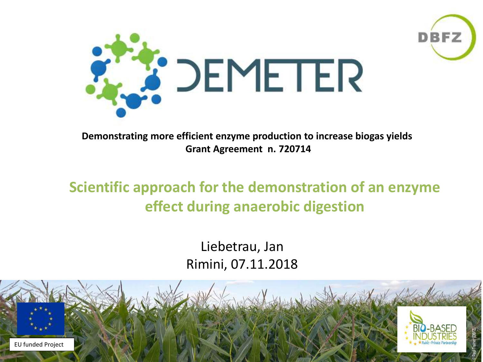



**Demonstrating more efficient enzyme production to increase biogas yields Grant Agreement n. 720714**

#### **Scientific approach for the demonstration of an enzyme effect during anaerobic digestion**

Liebetrau, Jan Rimini, 07.11.2018

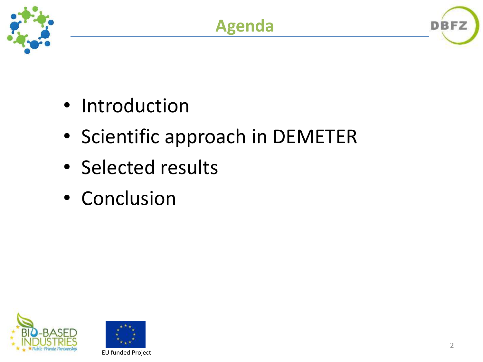



- Scientific approach in DEMETER
- Selected results
- Conclusion



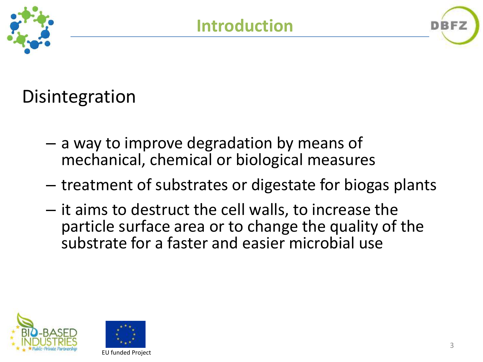

# **Disintegration**

- a way to improve degradation by means of mechanical, chemical or biological measures
- treatment of substrates or digestate for biogas plants
- it aims to destruct the cell walls, to increase the particle surface area or to change the quality of the substrate for a faster and easier microbial use



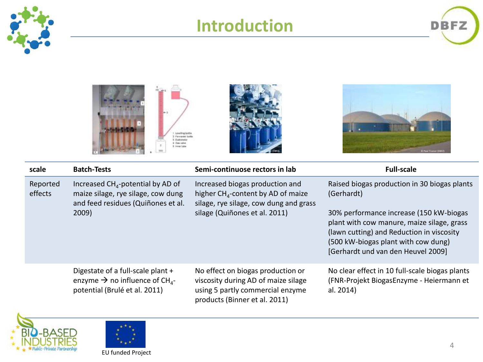

### **Introduction**





| scale               | <b>Batch-Tests</b>                                                                                                           | Semi-continuose rectors in lab                                                                                                                               | <b>Full-scale</b>                                                                                                                                                    |
|---------------------|------------------------------------------------------------------------------------------------------------------------------|--------------------------------------------------------------------------------------------------------------------------------------------------------------|----------------------------------------------------------------------------------------------------------------------------------------------------------------------|
| Reported<br>effects | Increased $CHA$ -potential by AD of<br>maize silage, rye silage, cow dung<br>and feed residues (Quiñones et al.<br>2009)     | Increased biogas production and<br>higher CH <sub>4</sub> -content by AD of maize<br>silage, rye silage, cow dung and grass<br>silage (Quiñones et al. 2011) | Raised biogas production in 30 biogas plants<br>(Gerhardt)<br>30% performance increase (150 kW-biogas                                                                |
|                     |                                                                                                                              |                                                                                                                                                              | plant with cow manure, maize silage, grass<br>(lawn cutting) and Reduction in viscosity<br>(500 kW-biogas plant with cow dung)<br>[Gerhardt und van den Heuvel 2009] |
|                     | Digestate of a full-scale plant +<br>enzyme $\rightarrow$ no influence of CH <sub>4</sub> -<br>potential (Brulé et al. 2011) | No effect on biogas production or<br>viscosity during AD of maize silage<br>using 5 partly commercial enzyme<br>products (Binner et al. 2011)                | No clear effect in 10 full-scale biogas plants<br>(FNR-Projekt BiogasEnzyme - Heiermann et<br>al. 2014)                                                              |



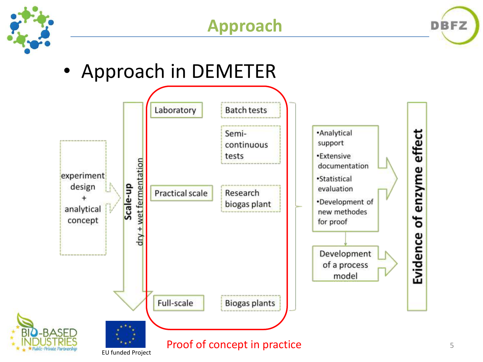





• Approach in DEMETER

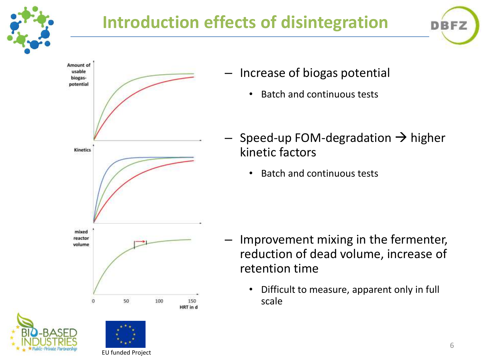

## **Introduction effects of disintegration**





- Increase of biogas potential
	- Batch and continuous tests
- Speed-up FOM-degradation  $\rightarrow$  higher kinetic factors
	- Batch and continuous tests

- Improvement mixing in the fermenter, reduction of dead volume, increase of retention time
	- Difficult to measure, apparent only in full scale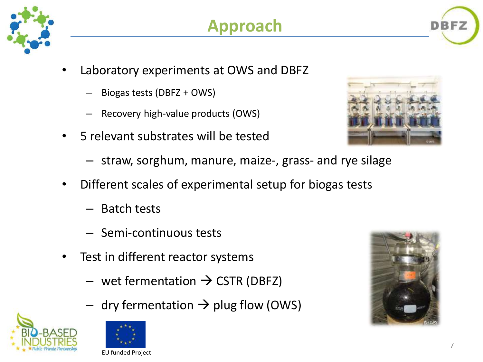

- Laboratory experiments at OWS and DBFZ
	- Biogas tests (DBFZ + OWS)
	- Recovery high-value products (OWS)
- 5 relevant substrates will be tested



- straw, sorghum, manure, maize-, grass- and rye silage
- Different scales of experimental setup for biogas tests
	- Batch tests
	- Semi-continuous tests
- Test in different reactor systems
	- wet fermentation  $\rightarrow$  CSTR (DBFZ)
	- dry fermentation  $\rightarrow$  plug flow (OWS)





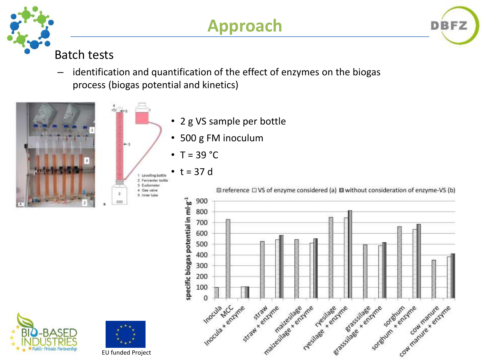



#### Batch tests

identification and quantification of the effect of enzymes on the biogas process (biogas potential and kinetics)





EU funded Project

- 2 g VS sample per bottle
- 500 g FM inoculum
- $T = 39 °C$
- $t = 37 d$



**BFZ** 

D



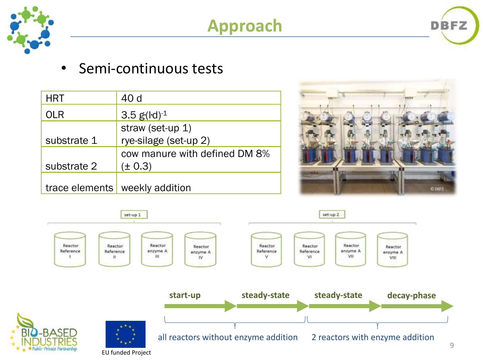

## **Approach**



• Semi-continuous tests

| <b>HRT</b>     | 40 d                          |
|----------------|-------------------------------|
| OLR            | 3.5 $g( d)^{-1}$              |
|                | straw (set-up 1)              |
| substrate 1    | rye-silage (set-up 2)         |
|                | cow manure with defined DM 8% |
| substrate 2    | $(\pm 0.3)$                   |
|                |                               |
| trace elements | weekly addition               |



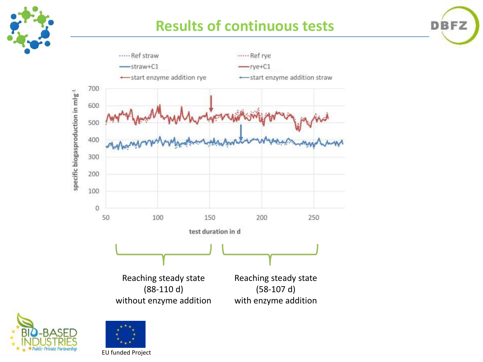

#### **Results of continuous tests**

**DBFZ** 





specific biogasproduction in mlg<sup>-1</sup>

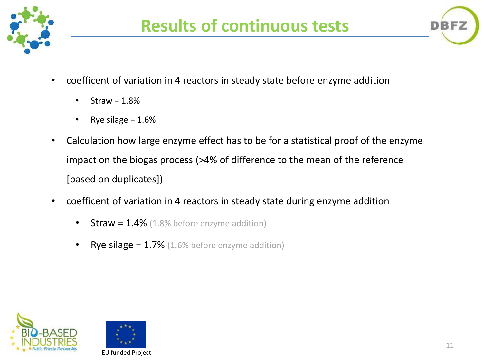



- coefficent of variation in 4 reactors in steady state before enzyme addition
	- $\cdot$  Straw = 1.8%
	- Rye silage  $= 1.6\%$
- Calculation how large enzyme effect has to be for a statistical proof of the enzyme impact on the biogas process (>4% of difference to the mean of the reference [based on duplicates])
- coefficent of variation in 4 reactors in steady state during enzyme addition
	- **Straw = 1.4%** (1.8% before enzyme addition)
	- **Rye silage = 1.7%** (1.6% before enzyme addition)



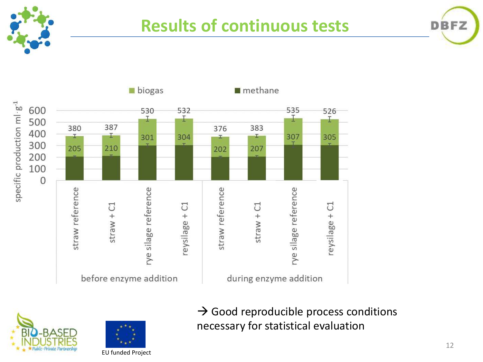

#### **Results of continuous tests**







 $\rightarrow$  Good reproducible process conditions necessary for statistical evaluation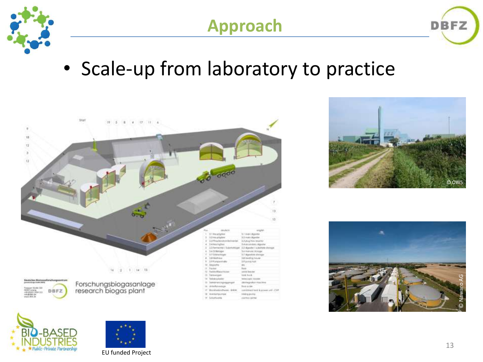

# **Approach**



# • Scale-up from laboratory to practice









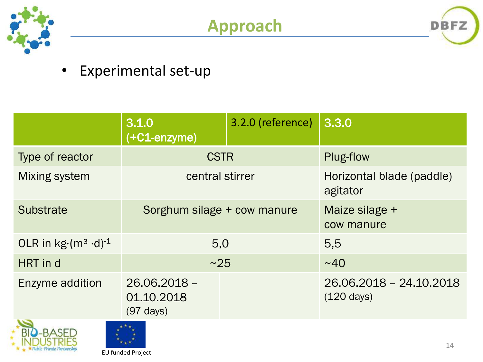





#### • Experimental set-up

|                                                 | 3.1.0<br>$\left( +C1$ -enzyme)                    | 3.2.0 (reference)            | 3.3.0                                           |  |  |  |
|-------------------------------------------------|---------------------------------------------------|------------------------------|-------------------------------------------------|--|--|--|
| Type of reactor                                 | <b>CSTR</b>                                       |                              | Plug-flow                                       |  |  |  |
| Mixing system                                   | central stirrer                                   |                              | Horizontal blade (paddle)<br>agitator           |  |  |  |
| Sorghum silage + cow manure<br><b>Substrate</b> |                                                   | Maize silage +<br>cow manure |                                                 |  |  |  |
| OLR in $kg(m^3 \cdot d)^{-1}$                   | 5,0                                               |                              | 5,5                                             |  |  |  |
| HRT in d                                        | ~25                                               |                              | ~140                                            |  |  |  |
| Enzyme addition                                 | 26.06.2018 -<br>01.10.2018<br>$(97 \text{ days})$ |                              | 26.06.2018 - 24.10.2018<br>$(120 \text{ days})$ |  |  |  |
| $\sim$<br>$+ + +$                               |                                                   |                              |                                                 |  |  |  |



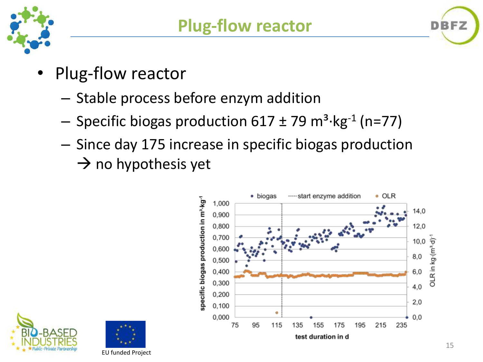

- Plug-flow reactor
	- Stable process before enzym addition
	- $-$  Specific biogas production 617  $\pm$  79 m<sup>3</sup>·kg<sup>-1</sup> (n=77)
	- Since day 175 increase in specific biogas production  $\rightarrow$  no hypothesis yet







**BFZ**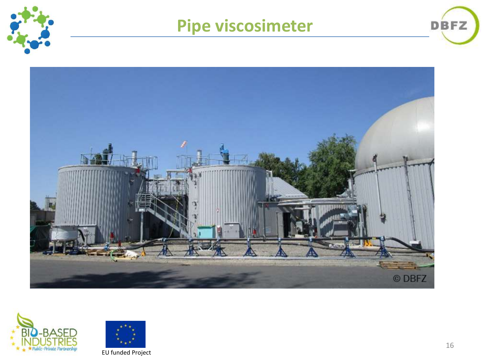

### **Pipe viscosimeter**





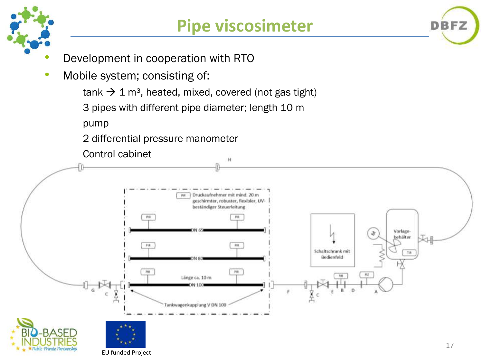

**DBFZ** 

- Development in cooperation with RTO
- Mobile system; consisting of:

 $tanh \rightarrow 1$  m<sup>3</sup>, heated, mixed, covered (not gas tight)

3 pipes with different pipe diameter; length 10 m

pump

2 differential pressure manometer

Control cabinet

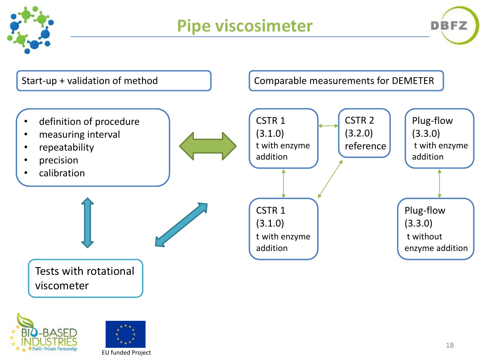

## **Pipe viscosimeter**





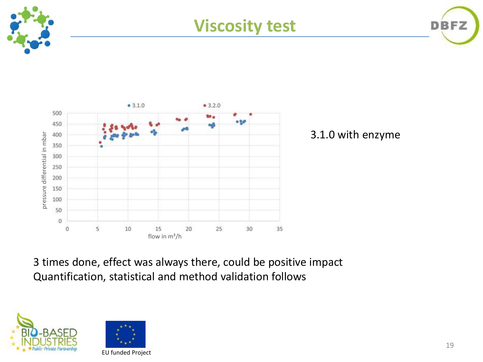





3.1.0 with enzyme

3 times done, effect was always there, could be positive impact Quantification, statistical and method validation follows



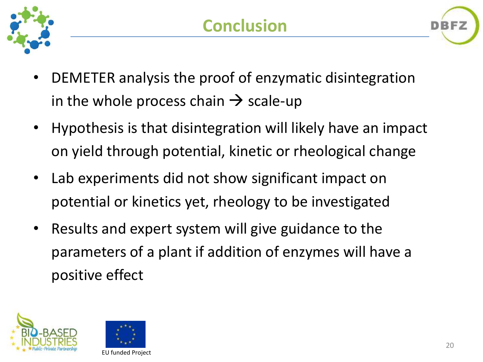



- Hypothesis is that disintegration will likely have an impact on yield through potential, kinetic or rheological change
- Lab experiments did not show significant impact on potential or kinetics yet, rheology to be investigated
- Results and expert system will give guidance to the parameters of a plant if addition of enzymes will have a positive effect